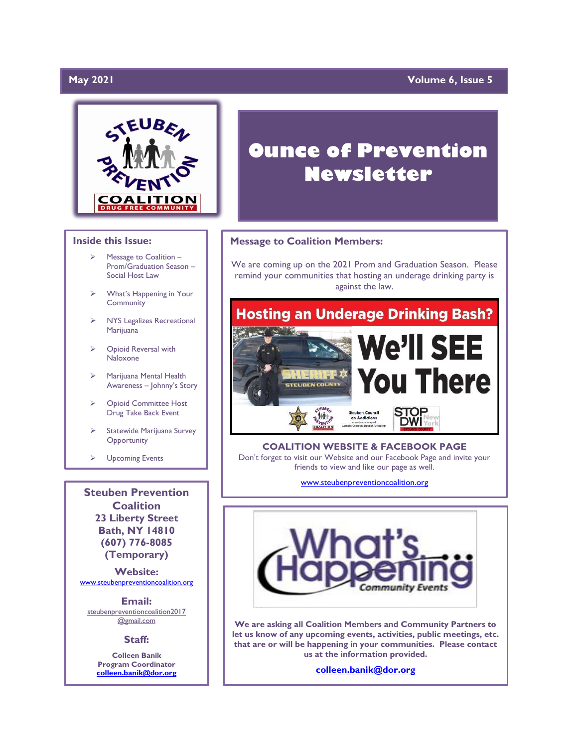# **May 2021**

# **Yolume 6, Issue 5**



### **Inside this Issue:**

- Message to Coalition -Prom/Graduation Season – Social Host Law
- ➢ What's Happening in Your Community
- ➢ NYS Legalizes Recreational Marijuana
- ➢ Opioid Reversal with Naloxone
- ➢ Marijuana Mental Health Awareness – Johnny's Story
- ➢ Opioid Committee Host Drug Take Back Event
- Statewide Marijuana Survey **Opportunity**
- ➢ Upcoming Events

**Steuben Prevention Coalition 23 Liberty Street Bath, NY 14810 (607) 776-8085 (Temporary)**

**Website:**  [www.steubenpreventioncoalition.org](http://www.steubenpreventioncoalition.org/)

**Email:**  steubenpreventioncoalition2017 @gmail.com

#### **Staff:**

**Colleen Banik Program Coordinator [colleen.banik@dor.org](mailto:colleen.banik@dor.org)**

# **Ounce of Prevention Newsletter**

### **Message to Coalition Members:**

We are coming up on the 2021 Prom and Graduation Season. Please remind your communities that hosting an underage drinking party is against the law.



**COALITION WEBSITE & FACEBOOK PAGE** Don't forget to visit our Website and our Facebook Page and invite your friends to view and like our page as well.

[www.steubenpreventioncoalition.org](http://www.steubenpreventioncoalition.org/)



**We are asking all Coalition Members and Community Partners to let us know of any upcoming events, activities, public meetings, etc. that are or will be happening in your communities. Please contact us at the information provided.**

**[colleen.banik@dor.org](mailto:colleen.banik@dor.org)**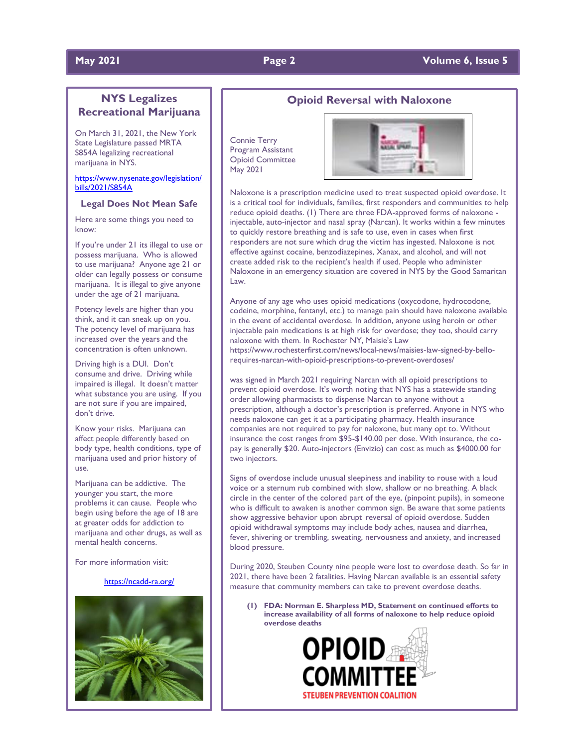### **May 2021 Page 2 Page 2 Page 2 Page 2 Volume 6, Issue 5**

# **NYS Legalizes Recreational Marijuana**

On March 31, 2021, the New York State Legislature passed MRTA S854A legalizing recreational marijuana in NYS.

[https://www.nysenate.gov/legislation/](https://www.nysenate.gov/legislation/bills/2021/S854A) [bills/2021/S854A](https://www.nysenate.gov/legislation/bills/2021/S854A)

#### **Legal Does Not Mean Safe**

Here are some things you need to know:

If you're under 21 its illegal to use or possess marijuana. Who is allowed to use marijuana? Anyone age 21 or older can legally possess or consume marijuana. It is illegal to give anyone under the age of 21 marijuana.

Potency levels are higher than you think, and it can sneak up on you. The potency level of marijuana has increased over the years and the concentration is often unknown.

Driving high is a DUI. Don't consume and drive. Driving while impaired is illegal. It doesn't matter what substance you are using. If you are not sure if you are impaired, don't drive.

Know your risks. Marijuana can affect people differently based on body type, health conditions, type of marijuana used and prior history of use.

Marijuana can be addictive. The younger you start, the more problems it can cause. People who begin using before the age of 18 are at greater odds for addiction to marijuana and other drugs, as well as mental health concerns.

For more information visit:

### <https://ncadd-ra.org/>



### **Opioid Reversal with Naloxone**

Connie Terry Program Assistant Opioid Committee May 2021



Naloxone is a prescription medicine used to treat suspected opioid overdose. It is a critical tool for individuals, families, first responders and communities to help reduce opioid deaths. (1) There are three FDA-approved forms of naloxone injectable, auto-injector and nasal spray (Narcan). It works within a few minutes to quickly restore breathing and is safe to use, even in cases when first responders are not sure which drug the victim has ingested. Naloxone is not effective against cocaine, benzodiazepines, Xanax, and alcohol, and will not create added risk to the recipient's health if used. People who administer Naloxone in an emergency situation are covered in NYS by the Good Samaritan Law.

Anyone of any age who uses opioid medications (oxycodone, hydrocodone, codeine, morphine, fentanyl, etc.) to manage pain should have naloxone available in the event of accidental overdose. In addition, anyone using heroin or other injectable pain medications is at high risk for overdose; they too, should carry naloxone with them. In Rochester NY, Maisie's Law https://www.rochesterfirst.com/news/local-news/maisies-law-signed-by-bello-

requires-narcan-with-opioid-prescriptions-to-prevent-overdoses/

was signed in March 2021 requiring Narcan with all opioid prescriptions to prevent opioid overdose. It's worth noting that NYS has a statewide standing order allowing pharmacists to dispense Narcan to anyone without a prescription, although a doctor's prescription is preferred. Anyone in NYS who needs naloxone can get it at a participating pharmacy. Health insurance companies are not required to pay for naloxone, but many opt to. Without insurance the cost ranges from \$95-\$140.00 per dose. With insurance, the copay is generally \$20. Auto-injectors (Envizio) can cost as much as \$4000.00 for two injectors.

Signs of overdose include unusual sleepiness and inability to rouse with a loud voice or a sternum rub combined with slow, shallow or no breathing. A black circle in the center of the colored part of the eye, (pinpoint pupils), in someone who is difficult to awaken is another common sign. Be aware that some patients show aggressive behavior upon abrupt reversal of opioid overdose. Sudden opioid withdrawal symptoms may include body aches, nausea and diarrhea, fever, shivering or trembling, sweating, nervousness and anxiety, and increased blood pressure.

During 2020, Steuben County nine people were lost to overdose death. So far in 2021, there have been 2 fatalities. Having Narcan available is an essential safety measure that community members can take to prevent overdose deaths.

**(1) FDA: Norman E. Sharpless MD, Statement on continued efforts to increase availability of all forms of naloxone to help reduce opioid overdose deaths**

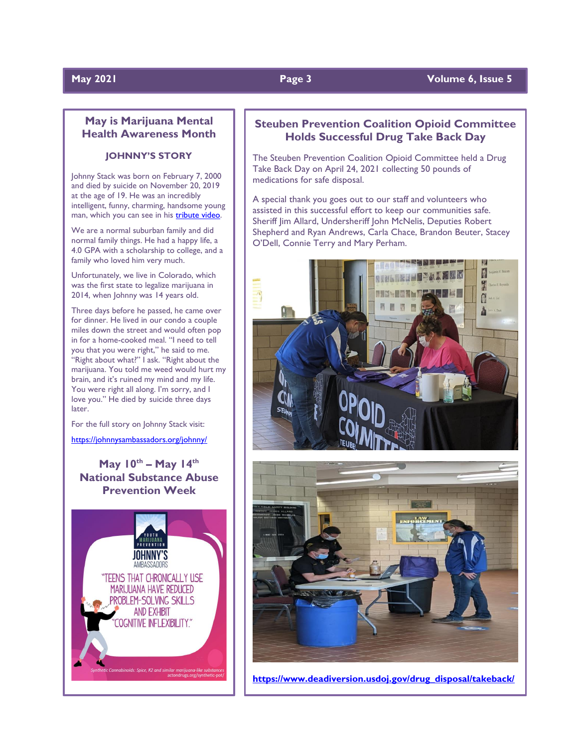# **May 2021 Page 3 Volume 6, Issue 5**

# **May is Marijuana Mental Health Awareness Month**

# **JOHNNY'S STORY**

Johnny Stack was born on February 7, 2000 and died by suicide on November 20, 2019 at the age of 19. He was an incredibly intelligent, funny, charming, handsome young man, which you can see in his **tribute video**.

We are a normal suburban family and did normal family things. He had a happy life, a 4.0 GPA with a scholarship to college, and a family who loved him very much.

Unfortunately, we live in Colorado, which was the first state to legalize marijuana in 2014, when Johnny was 14 years old.

Three days before he passed, he came over for dinner. He lived in our condo a couple miles down the street and would often pop in for a home-cooked meal. "I need to tell you that you were right," he said to me. "Right about what?" I ask. "Right about the marijuana. You told me weed would hurt my brain, and it's ruined my mind and my life. You were right all along. I'm sorry, and I love you." He died by suicide three days later.

For the full story on Johnny Stack visit:

#### <https://johnnysambassadors.org/johnny/>

# **May 10th – May 14th National Substance Abuse Prevention Week**



# **Steuben Prevention Coalition Opioid Committee Holds Successful Drug Take Back Day**

The Steuben Prevention Coalition Opioid Committee held a Drug Take Back Day on April 24, 2021 collecting 50 pounds of medications for safe disposal.

A special thank you goes out to our staff and volunteers who assisted in this successful effort to keep our communities safe. Sheriff Jim Allard, Undersheriff John McNelis, Deputies Robert Shepherd and Ryan Andrews, Carla Chace, Brandon Beuter, Stacey O'Dell, Connie Terry and Mary Perham.





**[https://www.deadiversion.usdoj.gov/drug\\_disposal/takeback/](https://www.deadiversion.usdoj.gov/drug_disposal/takeback/)**